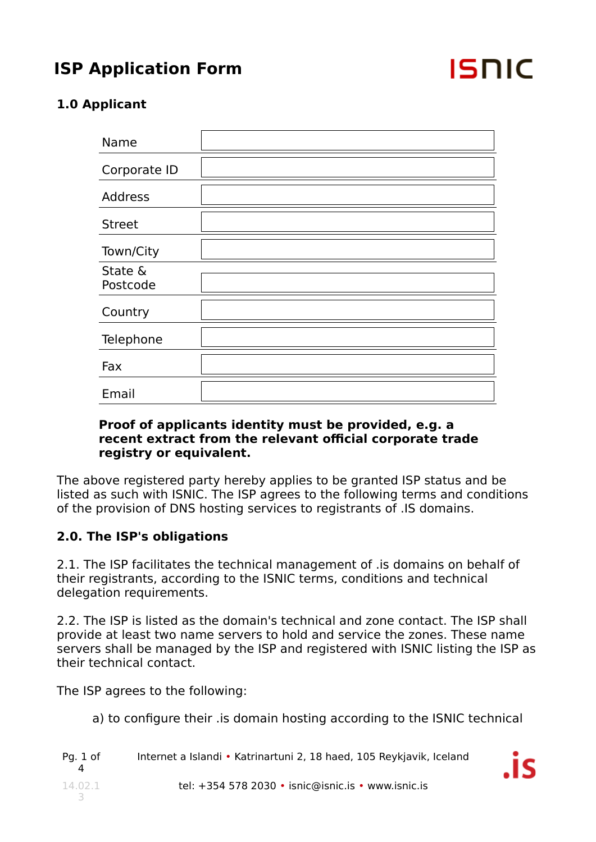

İ٢

## **1.0 Applicant**

| Name                |  |
|---------------------|--|
| Corporate ID        |  |
| <b>Address</b>      |  |
| <b>Street</b>       |  |
| Town/City           |  |
| State &<br>Postcode |  |
| Country             |  |
| Telephone           |  |
| Fax                 |  |
| Email               |  |

#### **Proof of applicants identity must be provided, e.g. a recent extract from the relevant official corporate trade registry or equivalent.**

The above registered party hereby applies to be granted ISP status and be listed as such with ISNIC. The ISP agrees to the following terms and conditions of the provision of DNS hosting services to registrants of .IS domains.

### **2.0. The ISP's obligations**

2.1. The ISP facilitates the technical management of .is domains on behalf of their registrants, according to the ISNIC terms, conditions and technical delegation requirements.

2.2. The ISP is listed as the domain's technical and zone contact. The ISP shall provide at least two name servers to hold and service the zones. These name servers shall be managed by the ISP and registered with ISNIC listing the ISP as their technical contact.

The ISP agrees to the following:

a) to configure their .is domain hosting according to the ISNIC technical

| Pg. 1 of | Internet a Islandi • Katrinartuni 2, 18 haed, 105 Reykjavik, Iceland |  |
|----------|----------------------------------------------------------------------|--|
| 14.02.1  | tel: $+354$ 578 2030 • isnic@isnic.is • www.isnic.is                 |  |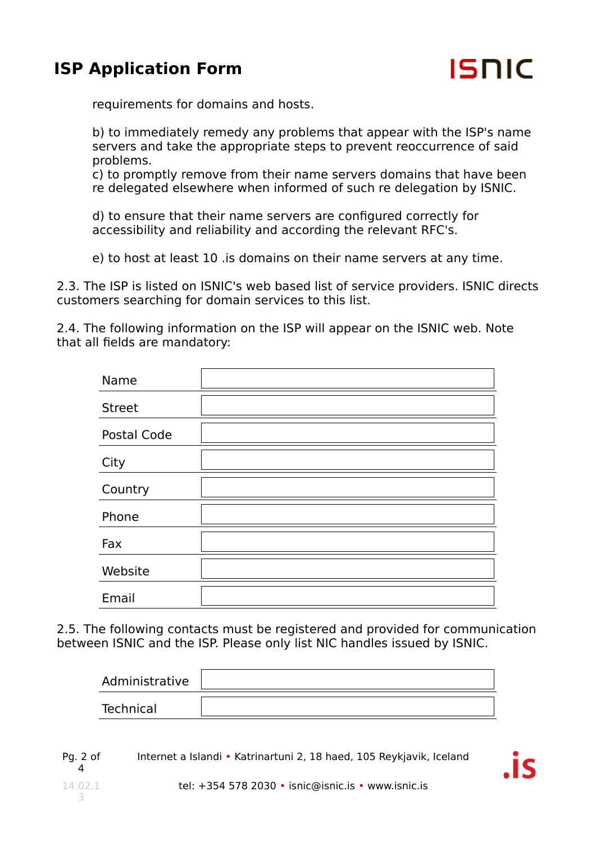

requirements for domains and hosts.

b) to immediately remedy any problems that appear with the ISP's name servers and take the appropriate steps to prevent reoccurrence of said problems.

c) to promptly remove from their name servers domains that have been re delegated elsewhere when informed of such re delegation by ISNIC.

d) to ensure that their name servers are configured correctly for accessibility and reliability and according the relevant RFC's.

e) to host at least 10 .is domains on their name servers at any time.

2.3. The ISP is listed on ISNIC's web based list of service providers. ISNIC directs customers searching for domain services to this list.

2.4. The following information on the ISP will appear on the ISNIC web. Note that all fields are mandatory:

| Name          |  |
|---------------|--|
| <b>Street</b> |  |
| Postal Code   |  |
| City          |  |
| Country       |  |
| Phone         |  |
| Fax           |  |
| Website       |  |
| Email         |  |

2.5. The following contacts must be registered and provided for communication between ISNIC and the ISP. Please only list NIC handles issued by ISNIC.

| Administrative |  |
|----------------|--|
| Technical      |  |

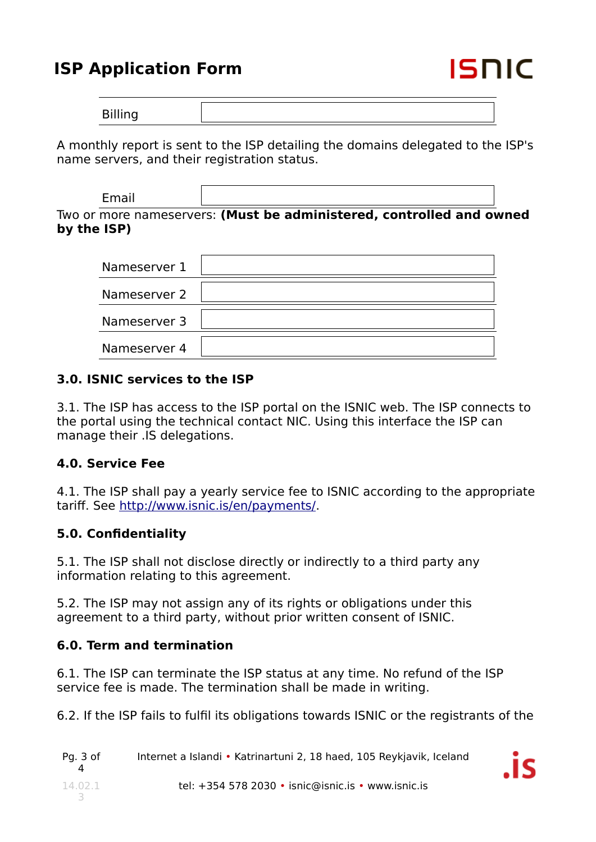

A monthly report is sent to the ISP detailing the domains delegated to the ISP's name servers, and their registration status.

| Email       |                                                                      |  |
|-------------|----------------------------------------------------------------------|--|
| by the ISP) | Two or more nameservers: (Must be administered, controlled and owned |  |

| Nameserver 1 |  |
|--------------|--|
| Nameserver 2 |  |
| Nameserver 3 |  |
| Nameserver 4 |  |

#### **3.0. ISNIC services to the ISP**

3.1. The ISP has access to the ISP portal on the ISNIC web. The ISP connects to the portal using the technical contact NIC. Using this interface the ISP can manage their .IS delegations.

### **4.0. Service Fee**

4.1. The ISP shall pay a yearly service fee to ISNIC according to the appropriate tariff. See http://www.isnic.is/en/payments/.

### **5.0. Confidentiality**

5.1. The ISP shall not disclose directly or indirectly to a third party any information relating to this agreement.

5.2. The ISP may not assign any of its rights or obligations under this agreement to a third party, without prior written consent of ISNIC.

#### **6.0. Term and termination**

6.1. The ISP can terminate the ISP status at any time. No refund of the ISP service fee is made. The termination shall be made in writing.

6.2. If the ISP fails to fulfil its obligations towards ISNIC or the registrants of the